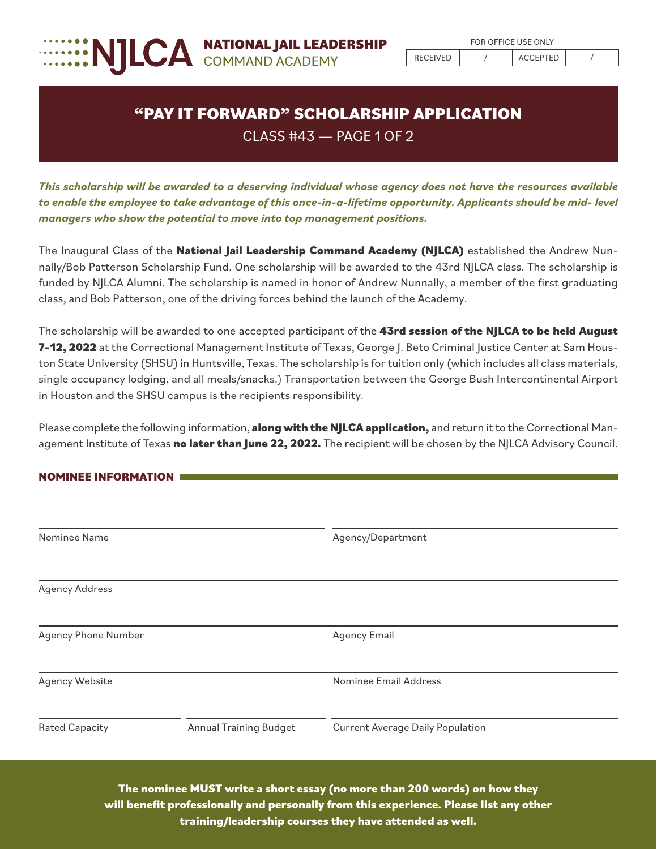

## **"PAY IT FORWARD" SCHOLARSHIP APPLICATION** CLASS #43 — PAGE 1 OF 2

*This scholarship will be awarded to a deserving individual whose agency does not have the resources available to enable the employee to take advantage of this once-in-a-lifetime opportunity. Applicants should be mid- level managers who show the potential to move into top management positions.* 

The Inaugural Class of the **National Jail Leadership Command Academy (NJLCA)** established the Andrew Nunnally/Bob Patterson Scholarship Fund. One scholarship will be awarded to the 43rd NJLCA class. The scholarship is funded by NJLCA Alumni. The scholarship is named in honor of Andrew Nunnally, a member of the first graduating class, and Bob Patterson, one of the driving forces behind the launch of the Academy.

The scholarship will be awarded to one accepted participant of the **43rd session of the NJLCA to be held August 7–12, 2022** at the Correctional Management Institute of Texas, George J. Beto Criminal Justice Center at Sam Houston State University (SHSU) in Huntsville, Texas. The scholarship is for tuition only (which includes all class materials, single occupancy lodging, and all meals/snacks.) Transportation between the George Bush Intercontinental Airport in Houston and the SHSU campus is the recipients responsibility.

Please complete the following information, **along with the NJLCA application,** and return it to the Correctional Management Institute of Texas **no later than June 22, 2022.** The recipient will be chosen by the NJLCA Advisory Council.

## **NOMINEE INFORMATION**

| Nominee Name          |                               | Agency/Department                       |  |
|-----------------------|-------------------------------|-----------------------------------------|--|
|                       |                               |                                         |  |
| <b>Agency Address</b> |                               |                                         |  |
|                       |                               |                                         |  |
| Agency Phone Number   |                               | <b>Agency Email</b>                     |  |
| <b>Agency Website</b> |                               | Nominee Email Address                   |  |
|                       | <b>Annual Training Budget</b> | <b>Current Average Daily Population</b> |  |
| <b>Rated Capacity</b> |                               |                                         |  |

**The nominee MUST write a short essay (no more than 200 words) on how they will benefit professionally and personally from this experience. Please list any other training/leadership courses they have attended as well.**